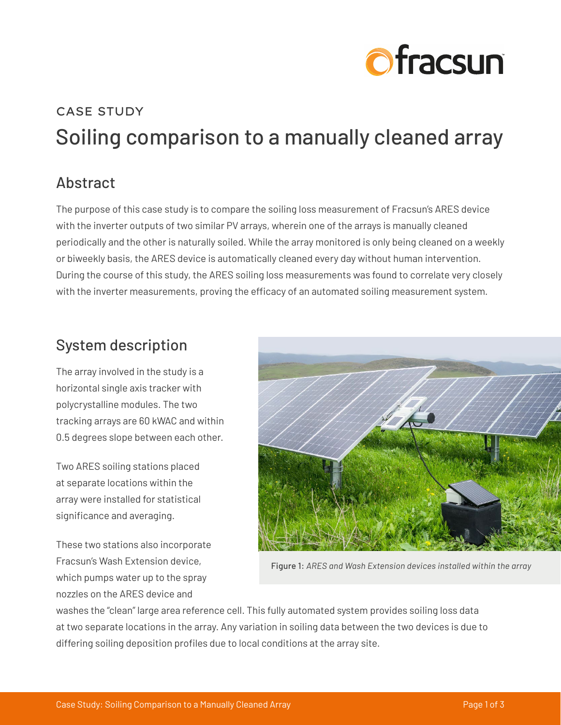

# CASE STUDY Soiling comparison to a manually cleaned array

### Abstract

The purpose of this case study is to compare the soiling loss measurement of Fracsun's ARES device with the inverter outputs of two similar PV arrays, wherein one of the arrays is manually cleaned periodically and the other is naturally soiled. While the array monitored is only being cleaned on a weekly or biweekly basis, the ARES device is automatically cleaned every day without human intervention. During the course of this study, the ARES soiling loss measurements was found to correlate very closely with the inverter measurements, proving the efficacy of an automated soiling measurement system.

### System description

The array involved in the study is a horizontal single axis tracker with polycrystalline modules. The two tracking arrays are 60 kWAC and within 0.5 degrees slope between each other.

Two ARES soiling stations placed at separate locations within the array were installed for statistical significance and averaging.

These two stations also incorporate Fracsun's Wash Extension device, which pumps water up to the spray nozzles on the ARES device and



Figure 1: *ARES and Wash Extension devices installed within the array*

washes the "clean" large area reference cell. This fully automated system provides soiling loss data at two separate locations in the array. Any variation in soiling data between the two devices is due to differing soiling deposition profiles due to local conditions at the array site.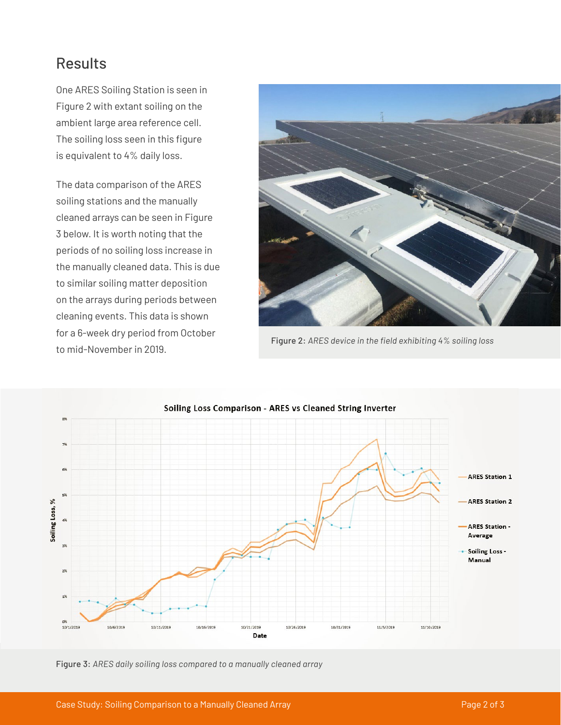### Results

One ARES Soiling Station is seen in Figure 2 with extant soiling on the ambient large area reference cell. The soiling loss seen in this figure is equivalent to 4% daily loss.

The data comparison of the ARES soiling stations and the manually cleaned arrays can be seen in Figure 3 below. It is worth noting that the periods of no soiling loss increase in the manually cleaned data. This is due to similar soiling matter deposition on the arrays during periods between cleaning events. This data is shown for a 6-week dry period from October to mid-November in 2019.



Figure 2: *ARES device in the field exhibiting 4% soiling loss*



Figure 3: *ARES daily soiling loss compared to a manually cleaned array*